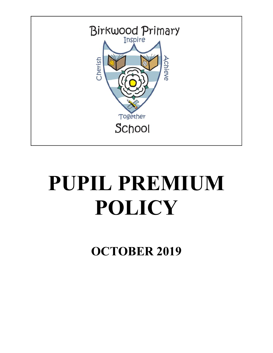

# **PUPIL PREMIUM POLICY**

**OCTOBER 2019**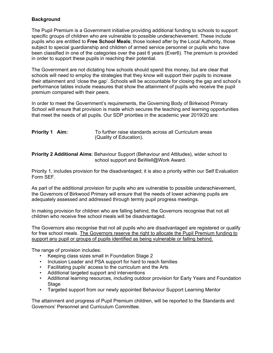## **Background**

The Pupil Premium is a Government initiative providing additional funding to schools to support specific groups of children who are vulnerable to possible underachievement. These include pupils who are entitled to **Free School Meals**; those looked after by the Local Authority, those subject to special guardianship and children of armed service personnel or pupils who have been classified in one of the categories over the past 6 years (Ever6). The premium is provided in order to support these pupils in reaching their potential.

The Government are not dictating how schools should spend this money, but are clear that schools will need to employ the strategies that they know will support their pupils to increase their attainment and 'close the gap'. Schools will be accountable for closing the gap and school's performance tables include measures that show the attainment of pupils who receive the pupil premium compared with their peers.

In order to meet the Government's requirements, the Governing Body of Birkwood Primary School will ensure that provision is made which secures the teaching and learning opportunities that meet the needs of all pupils. Our SDP priorities in the academic year 2019/20 are:

| Priority 1 Aim: | To further raise standards across all Curriculum areas |
|-----------------|--------------------------------------------------------|
|                 | (Quality of Education).                                |

**Priority 2 Additional Aims**: Behaviour Support (Behaviour and Attitudes), wider school to school support and BeWell@Work Award.

Priority 1, includes provision for the disadvantaged; it is also a priority within our Self Evaluation Form SEF.

As part of the additional provision for pupils who are vulnerable to possible underachievement, the Governors of Birkwood Primary will ensure that the needs of lower achieving pupils are adequately assessed and addressed through termly pupil progress meetings.

In making provision for children who are falling behind, the Governors recognise that not all children who receive free school meals will be disadvantaged.

The Governors also recognise that not all pupils who are disadvantaged are registered or qualify for free school meals. The Governors reserve the right to allocate the Pupil Premium funding to support any pupil or groups of pupils identified as being vulnerable or falling behind.

The range of provision includes:

- Keeping class sizes small in Foundation Stage 2
- Inclusion Leader and PSA support for hard to reach families
- Facilitating pupils' access to the curriculum and the Arts
- Additional targeted support and interventions
- Additional learning resources, including outdoor provision for Early Years and Foundation Stage
- Targeted support from our newly appointed Behaviour Support Learning Mentor

The attainment and progress of Pupil Premium children, will be reported to the Standards and Governors' Personnel and Curriculum Committee.